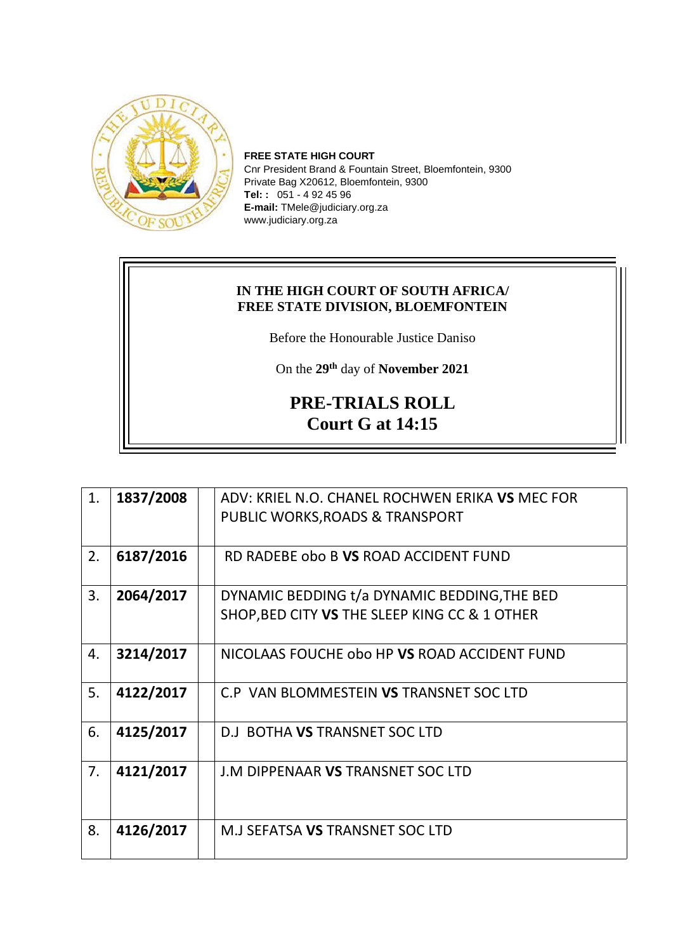

**FREE STATE HIGH COURT** Cnr President Brand & Fountain Street, Bloemfontein, 9300 Private Bag X20612, Bloemfontein, 9300 **Tel: :** 051 - 4 92 45 96 **E-mail:** TMele@judiciary.org.za www.judiciary.org.za

## **IN THE HIGH COURT OF SOUTH AFRICA/ FREE STATE DIVISION, BLOEMFONTEIN**

Before the Honourable Justice Daniso

On the **29th** day of **November 2021**

## **PRE-TRIALS ROLL Court G at 14:15**

| 1. | 1837/2008 | ADV: KRIEL N.O. CHANEL ROCHWEN ERIKA VS MEC FOR |
|----|-----------|-------------------------------------------------|
|    |           | PUBLIC WORKS, ROADS & TRANSPORT                 |
|    |           |                                                 |
| 2. | 6187/2016 | RD RADEBE obo B VS ROAD ACCIDENT FUND           |
|    |           |                                                 |
| 3. | 2064/2017 | DYNAMIC BEDDING t/a DYNAMIC BEDDING, THE BED    |
|    |           | SHOP, BED CITY VS THE SLEEP KING CC & 1 OTHER   |
|    |           |                                                 |
| 4. | 3214/2017 | NICOLAAS FOUCHE obo HP VS ROAD ACCIDENT FUND    |
|    |           |                                                 |
| 5. | 4122/2017 | C.P VAN BLOMMESTEIN VS TRANSNET SOC LTD         |
|    |           |                                                 |
| 6. | 4125/2017 | D.J BOTHA VS TRANSNET SOC LTD                   |
|    |           |                                                 |
| 7. | 4121/2017 | J.M DIPPENAAR VS TRANSNET SOC LTD               |
|    |           |                                                 |
|    |           |                                                 |
| 8. | 4126/2017 | M.J SEFATSA VS TRANSNET SOC LTD                 |
|    |           |                                                 |